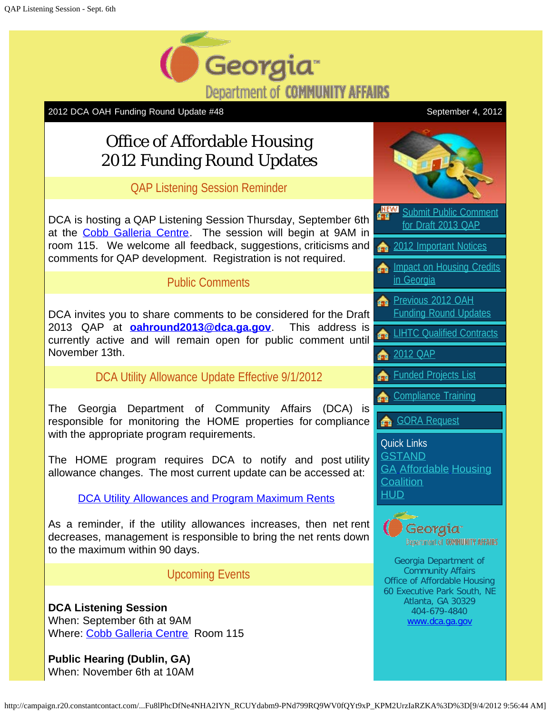

2012 DCA OAH Funding Round Update #48 September 4, 2012

## Office of Affordable Housing 2012 Funding Round Updates

QAP Listening Session Reminder

DCA is hosting a QAP Listening Session Thursday, September 6th at the [Cobb Galleria Centre.](http://r20.rs6.net/tn.jsp?e=001nY0W3n_v_W-Ay9_puqmetNKkf2vAs8__mVxSYN5R1RcpIP6GMNNnqaPxjjjJCyT_osE-bA_ImePCjDzeoAtiH0dsWYva1YXyqEH49a0Y_F0NhESJRY1lXAtdf2fMsQc1Md_feKlu4X18deKuog_ec5DlIiGOzzPq) The session will begin at 9AM in room 115. We welcome all feedback, suggestions, criticisms and comments for QAP development. Registration is not required.

## Public Comments

DCA invites you to share comments to be considered for the Draft 2013 QAP at **[oahround2013@dca.ga.gov](mailto:oahround2013@dca.ga.gov)**. This address is currently active and will remain open for public comment until November 13th.

DCA Utility Allowance Update Effective 9/1/2012

The Georgia Department of Community Affairs (DCA) is responsible for monitoring the HOME properties for compliance with the appropriate program requirements.

The HOME program requires DCA to notify and post utility allowance changes. The most current update can be accessed at:

DCA Utility Allowances and Program Maximum Rents

As a reminder, if the utility allowances increases, then net rent decreases, management is responsible to bring the net rents down to the maximum within 90 days.

Upcoming Events

**DCA Listening Session** When: September 6th at 9AM Where: [Cobb Galleria Centre](http://r20.rs6.net/tn.jsp?e=001nY0W3n_v_W-Ay9_puqmetNKkf2vAs8__mVxSYN5R1RcpIP6GMNNnqaPxjjjJCyT_osE-bA_ImePCjDzeoAtiH0dsWYva1YXyqEH49a0Y_F0NhESJRY1lXAtdf2fMsQc1Md_feKlu4X18deKuog_ec5DlIiGOzzPq) Room 115

**Public Hearing (Dublin, GA)** When: November 6th at 10AM

[Submit Public Comment](mailto:oahround2013@dca.ga.gov) for Draft 2013 OAP [2012 Important Notices](http://r20.rs6.net/tn.jsp?e=001nY0W3n_v_W8pLrZgKp1FbGGhcHLB4si1we82rX-vB5BJ-gBHmfaHJcNEe3lvO4_0zemQ5A-yNAkEtykWOcLq9TBx_r5ebQZMRUNfxlL9SCT9R2DeR28PHMPhWFFvSDjD2-YIqO_SEpaLNgTg7xXx4MeqCwrcoKeUC9x7wXsg4l_CDux3-hr1keMp6pXt64Ql) **[Impact on Housing Credits](http://r20.rs6.net/tn.jsp?e=001nY0W3n_v_W9S2KUtthtZ00ZfBpKt7uW-EYHxP9sXHLMGCyfcF4qX924kZYP2IPFXCOm1T1rRc8aR3HFtEfsihFY37VKvJJCr_oGER7K3W6Gl1u0k3OBDjw==)** [in Georgia](http://r20.rs6.net/tn.jsp?e=001nY0W3n_v_W9S2KUtthtZ00ZfBpKt7uW-EYHxP9sXHLMGCyfcF4qX924kZYP2IPFXCOm1T1rRc8aR3HFtEfsihFY37VKvJJCr_oGER7K3W6Gl1u0k3OBDjw==) **[Previous 2012 OAH](http://r20.rs6.net/tn.jsp?e=001nY0W3n_v_W894Y8Fz0cewHkHp6EdJ2rIO3AxQLhSzXipjlF0hzr89vXVOIjNhvGHvcwsicd_qoxCuA1ioshxq5t7ql2jNd1iXSCvdzSjCO-IEK-EGnEAlr1d8npg4Jra7EsCpDkIU0XtvpkuuiV4fnssZTUyWaiTos23KwXCkyuuOw2nIW_OJ4I3PBClI7j62W5-xi70IxQ=)** [Funding Round Updates](http://r20.rs6.net/tn.jsp?e=001nY0W3n_v_W894Y8Fz0cewHkHp6EdJ2rIO3AxQLhSzXipjlF0hzr89vXVOIjNhvGHvcwsicd_qoxCuA1ioshxq5t7ql2jNd1iXSCvdzSjCO-IEK-EGnEAlr1d8npg4Jra7EsCpDkIU0XtvpkuuiV4fnssZTUyWaiTos23KwXCkyuuOw2nIW_OJ4I3PBClI7j62W5-xi70IxQ=) **LIHTC** Qualified Contracts **[2012](http://r20.rs6.net/tn.jsp?e=001nY0W3n_v_W8pLrZgKp1FbGGhcHLB4si1we82rX-vB5BJ-gBHmfaHJcNEe3lvO4_0zemQ5A-yNAkEtykWOcLq9TBx_r5ebQZMRUNfxlL9SCT9R2DeR28PHMPhWFFvSDjD2-YIqO_SEpaLNgTg7xXx4MeqCwrcoKeUC9x7wXsg4l_CDux3-hr1keMp6pXt64Ql) OAP** [Funded Projects List](http://r20.rs6.net/tn.jsp?e=001nY0W3n_v_W985p9MWHuj_H7fp5uRwG1vT_ThvTOXdh3FkpACI3JN-AW9OB4C3BJrR7i1fuhPiWlUzTL3dxUVMAyt29Xa_-LowzjpEWL7T0xFjnwkA2BXbWA8HVJNCerBk-AR5x4CFFIisRKh_ZE1bNCTuTtVUumsMU1W9DkYACyVsggoq0Tap6EZul07SiCpHpfBCeAWjexjxbjJffR-nw==) [Compliance Training](http://r20.rs6.net/tn.jsp?e=001nY0W3n_v_W8R7fXOxWLjo3LnPqOwteLlEV2RkwAdZv8XhjynUCpcsarPeIFKPJJD0GHdzkjnDde5wafQCJ0e4aXy7i-yqvN3hLBrXCs0iABLtrjsM3RfdNOuOeNO9uVjsYUAMA1d94UHHcKOygGHQSgvWXMvhrkczB85FsSm2LiqDOmoAOLIGjzZEFoLmQ21) [GORA Request](http://r20.rs6.net/tn.jsp?e=001nY0W3n_v_W92z0NsZ10FBjr2ZlwIquEP7Yb0FNtSBMKpN5pF2acZqgV1iLcA74ZTno2UW8Ou-cex9k-_eIIy9Uhvw0IDN9VZoOyobAYUpU_rrKhqCsEQ7ayKy5gaeGz9J-4-PoeWXq1hr0H2-fjzcQ==) Quick Links **[GSTAND](http://r20.rs6.net/tn.jsp?e=001nY0W3n_v_W_k_p_Et5vSotv-2HuD27b3np50DSiFf2OpEPa3T7xv_KFIlTAPPm9RAQGzdvC-NBuQwHLSc7j1LorjepJpV0PJtsOGCwoE-2U=) [GA](http://r20.rs6.net/tn.jsp?e=001nY0W3n_v_W9lyafhqWsS_KQIWDTM4yMahzC0i0NUwILYQ-Gu8_NQprtoyVJg1bpyylnzyxZvbjlwv9W2sV6bcSnvRBCS7G1gSGeH_O5mekSkuW4Skwed7Jg3e7VNTDQV) [Affordable](http://r20.rs6.net/tn.jsp?e=001nY0W3n_v_W9lyafhqWsS_KQIWDTM4yMahzC0i0NUwILYQ-Gu8_NQprtoyVJg1bpyylnzyxZvbjlwv9W2sV6bcSnvRBCS7G1gSGeH_O5mekSkuW4Skwed7Jg3e7VNTDQV) [Housing](http://r20.rs6.net/tn.jsp?e=001nY0W3n_v_W9lyafhqWsS_KQIWDTM4yMahzC0i0NUwILYQ-Gu8_NQprtoyVJg1bpyylnzyxZvbjlwv9W2sV6bcSnvRBCS7G1gSGeH_O5mekSkuW4Skwed7Jg3e7VNTDQV) [Coalition](http://r20.rs6.net/tn.jsp?e=001nY0W3n_v_W9lyafhqWsS_KQIWDTM4yMahzC0i0NUwILYQ-Gu8_NQprtoyVJg1bpyylnzyxZvbjlwv9W2sV6bcSnvRBCS7G1gSGeH_O5mekSkuW4Skwed7Jg3e7VNTDQV)** [HUD](http://r20.rs6.net/tn.jsp?e=001nY0W3n_v_W9nXiSLidyOBQg-hd2nP1Qopzv7C2KZpZdAalWK4f9IOIfrsaxCEwm9kg26-pbCxog3Y59eKS0-yOTIPPdMm1GDsNvYihpJwz8=) Georgia<sup>.</sup> Department of COMMUNITY AFFAIRS Georgia Department of Community Affairs Office of Affordable Housing 60 Executive Park South, NE Atlanta, GA 30329 404-679-4840

[www.dca.ga.gov](http://r20.rs6.net/tn.jsp?e=001nY0W3n_v_W-eydbLND4L4rb_HSHqOEQlk_qEWJqnr23MmIK5d9n-kI_OBSeKzyeIN_mlOaLLdhoPdykbWM8E_9kA3gtCly3Zdhq4JxYkjjY=)